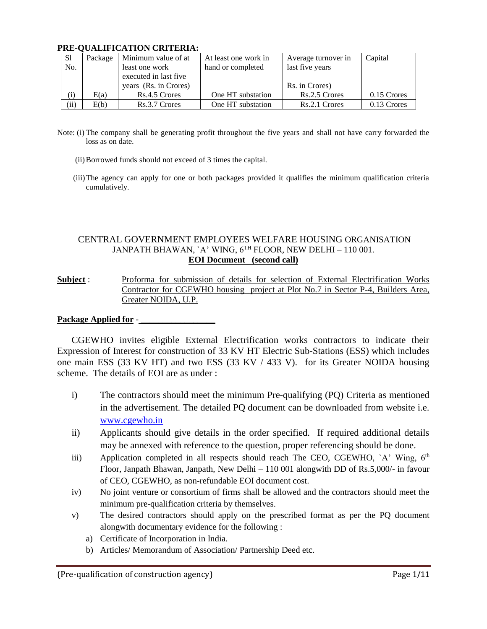| -S1  |      | Package   Minimum value of at | At least one work in | Average turnover in | Capital       |
|------|------|-------------------------------|----------------------|---------------------|---------------|
| No.  |      | least one work                | hand or completed    | last five years     |               |
|      |      | executed in last five         |                      |                     |               |
|      |      | years (Rs. in Crores)         |                      | Rs. in Crores)      |               |
| (i)  | E(a) | Rs.4.5 Crores                 | One HT substation    | Rs.2.5 Crores       | $0.15$ Crores |
| (ii) | E(b) | Rs.3.7 Crores                 | One HT substation    | Rs.2.1 Crores       | 0.13 Crores   |

### **PRE-QUALIFICATION CRITERIA:**

- Note: (i) The company shall be generating profit throughout the five years and shall not have carry forwarded the loss as on date.
	- (ii)Borrowed funds should not exceed of 3 times the capital.
	- (iii)The agency can apply for one or both packages provided it qualifies the minimum qualification criteria cumulatively.

### CENTRAL GOVERNMENT EMPLOYEES WELFARE HOUSING ORGANISATION JANPATH BHAWAN, `A' WING, 6TH FLOOR, NEW DELHI - 110 001. **EOI Document (second call)**

**Subject** : Proforma for submission of details for selection of External Electrification Works Contractor for CGEWHO housing project at Plot No.7 in Sector P-4, Builders Area, Greater NOIDA, U.P.

### Package Applied for -

CGEWHO invites eligible External Electrification works contractors to indicate their Expression of Interest for construction of 33 KV HT Electric Sub-Stations (ESS) which includes one main ESS (33 KV HT) and two ESS (33 KV / 433 V). for its Greater NOIDA housing scheme. The details of EOI are as under :

- i) The contractors should meet the minimum Pre-qualifying (PQ) Criteria as mentioned in the advertisement. The detailed PQ document can be downloaded from website i.e. [www.cgewho.in](http://www.cgewho.in/)
- ii) Applicants should give details in the order specified. If required additional details may be annexed with reference to the question, proper referencing should be done.
- iii) Application completed in all respects should reach The CEO, CGEWHO,  $A'$  Wing,  $6<sup>th</sup>$ Floor, Janpath Bhawan, Janpath, New Delhi – 110 001 alongwith DD of Rs.5,000/- in favour of CEO, CGEWHO, as non-refundable EOI document cost.
- iv) No joint venture or consortium of firms shall be allowed and the contractors should meet the minimum pre-qualification criteria by themselves.
- v) The desired contractors should apply on the prescribed format as per the PQ document alongwith documentary evidence for the following :
	- a) Certificate of Incorporation in India.
	- b) Articles/ Memorandum of Association/ Partnership Deed etc.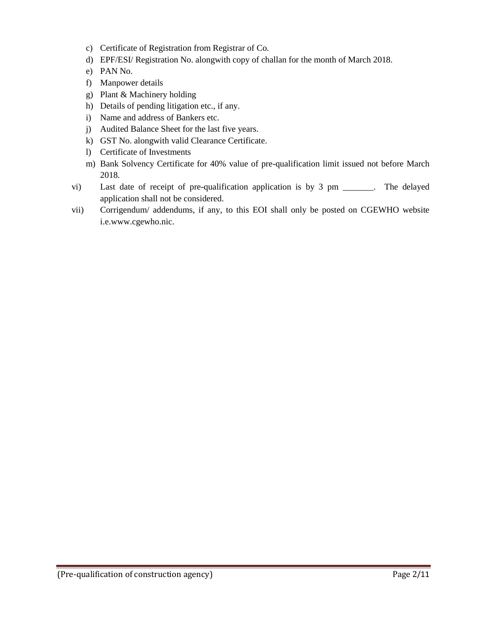- c) Certificate of Registration from Registrar of Co.
- d) EPF/ESI/ Registration No. alongwith copy of challan for the month of March 2018.
- e) PAN No.
- f) Manpower details
- g) Plant & Machinery holding
- h) Details of pending litigation etc., if any.
- i) Name and address of Bankers etc.
- j) Audited Balance Sheet for the last five years.
- k) GST No. alongwith valid Clearance Certificate.
- l) Certificate of Investments
- m) Bank Solvency Certificate for 40% value of pre-qualification limit issued not before March 2018.
- vi) Last date of receipt of pre-qualification application is by 3 pm \_\_\_\_\_\_\_. The delayed application shall not be considered.
- vii) Corrigendum/ addendums, if any, to this EOI shall only be posted on CGEWHO website i.e.www.cgewho.nic.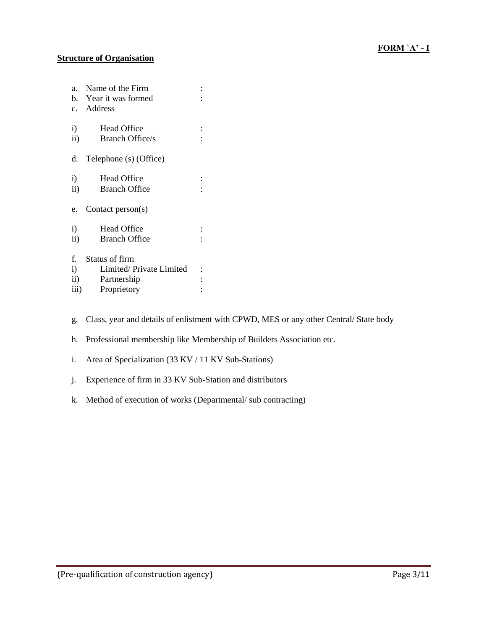# **Structure of Organisation**

| $\ddot{\cdot}$          |
|-------------------------|
|                         |
|                         |
|                         |
|                         |
|                         |
|                         |
|                         |
|                         |
|                         |
|                         |
|                         |
|                         |
|                         |
|                         |
|                         |
|                         |
| Limited/Private Limited |
|                         |
|                         |
|                         |

- g. Class, year and details of enlistment with CPWD, MES or any other Central/ State body
- h. Professional membership like Membership of Builders Association etc.
- i. Area of Specialization (33 KV / 11 KV Sub-Stations)
- j. Experience of firm in 33 KV Sub-Station and distributors
- k. Method of execution of works (Departmental/ sub contracting)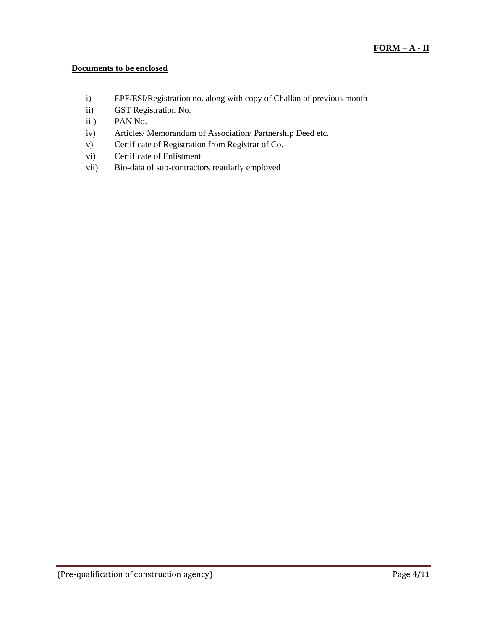### **Documents to be enclosed**

- i) EPF/ESI/Registration no. along with copy of Challan of previous month
- ii) GST Registration No.
- iii) PAN No.
- iv) Articles/ Memorandum of Association/ Partnership Deed etc.
- v) Certificate of Registration from Registrar of Co.
- vi) Certificate of Enlistment
- vii) Bio-data of sub-contractors regularly employed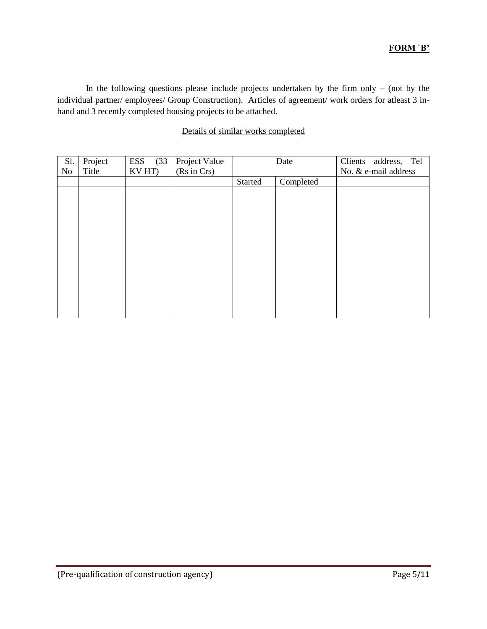## **FORM `B'**

In the following questions please include projects undertaken by the firm only  $-$  (not by the individual partner/ employees/ Group Construction). Articles of agreement/ work orders for atleast 3 inhand and 3 recently completed housing projects to be attached.

## Details of similar works completed

| S1.<br>No | Project<br>Title | ESS<br>(33)<br>KV HT) | Project Value<br>(Rs in Crs) |         | Date      | Clients address, Tel<br>No. & e-mail address |
|-----------|------------------|-----------------------|------------------------------|---------|-----------|----------------------------------------------|
|           |                  |                       |                              | Started | Completed |                                              |
|           |                  |                       |                              |         |           |                                              |
|           |                  |                       |                              |         |           |                                              |
|           |                  |                       |                              |         |           |                                              |
|           |                  |                       |                              |         |           |                                              |
|           |                  |                       |                              |         |           |                                              |
|           |                  |                       |                              |         |           |                                              |
|           |                  |                       |                              |         |           |                                              |
|           |                  |                       |                              |         |           |                                              |
|           |                  |                       |                              |         |           |                                              |
|           |                  |                       |                              |         |           |                                              |
|           |                  |                       |                              |         |           |                                              |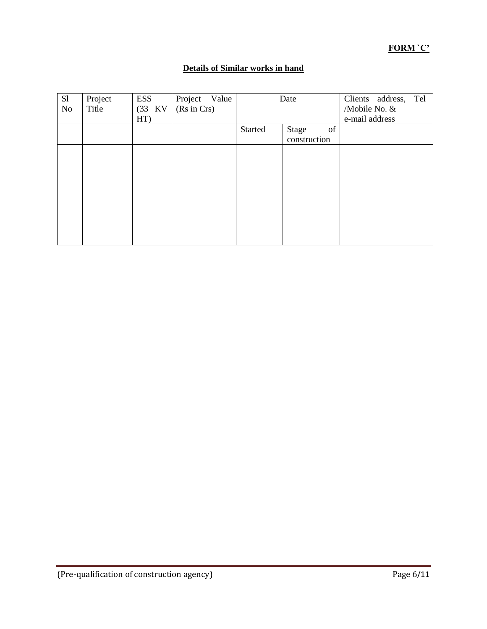# **FORM `C'**

# **Details of Similar works in hand**

| S1<br>No | Project<br>Title | ESS<br>(33 KV)<br>HT) | Project Value<br>(Rs in Crs) |         | Date         |    | Clients address,<br>/Mobile No. &<br>e-mail address | Tel |
|----------|------------------|-----------------------|------------------------------|---------|--------------|----|-----------------------------------------------------|-----|
|          |                  |                       |                              | Started | Stage        | of |                                                     |     |
|          |                  |                       |                              |         | construction |    |                                                     |     |
|          |                  |                       |                              |         |              |    |                                                     |     |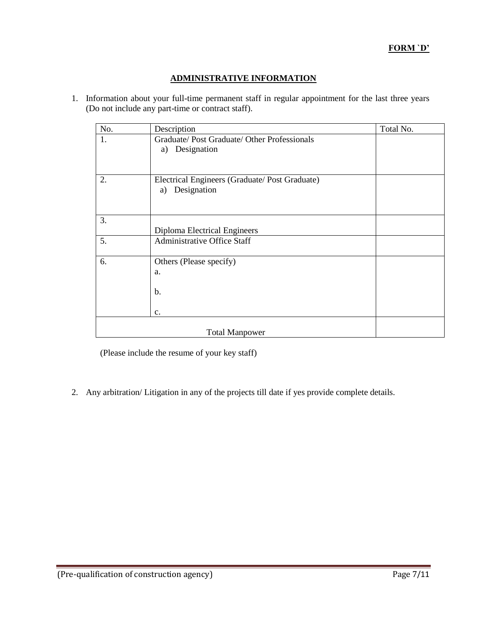## **ADMINISTRATIVE INFORMATION**

1. Information about your full-time permanent staff in regular appointment for the last three years (Do not include any part-time or contract staff).

| No. | Description                                   | Total No. |
|-----|-----------------------------------------------|-----------|
| 1.  | Graduate/ Post Graduate/ Other Professionals  |           |
|     | a) Designation                                |           |
|     |                                               |           |
| 2.  | Electrical Engineers (Graduate/Post Graduate) |           |
|     | Designation<br>a)                             |           |
|     |                                               |           |
| 3.  |                                               |           |
|     | Diploma Electrical Engineers                  |           |
| 5.  | <b>Administrative Office Staff</b>            |           |
| 6.  | Others (Please specify)                       |           |
|     | a.                                            |           |
|     |                                               |           |
|     | b.                                            |           |
|     | $\mathbf{c}$ .                                |           |
|     |                                               |           |
|     | <b>Total Manpower</b>                         |           |

(Please include the resume of your key staff)

2. Any arbitration/ Litigation in any of the projects till date if yes provide complete details.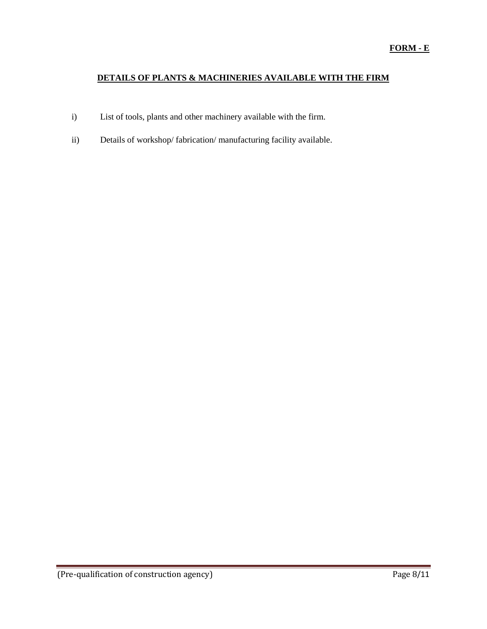# **DETAILS OF PLANTS & MACHINERIES AVAILABLE WITH THE FIRM**

- i) List of tools, plants and other machinery available with the firm.
- ii) Details of workshop/ fabrication/ manufacturing facility available.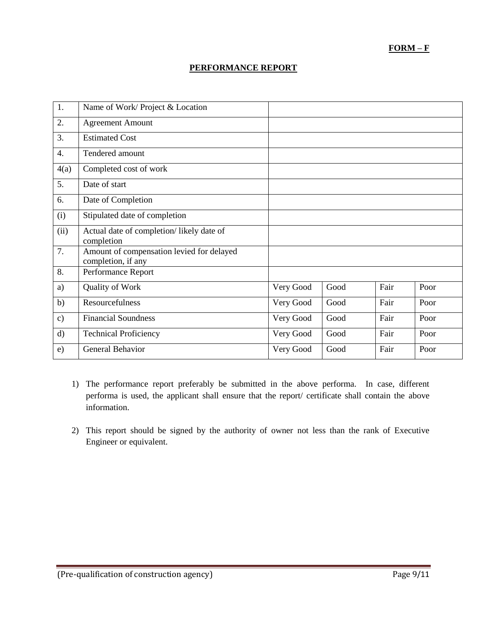# **FORM – F**

### **PERFORMANCE REPORT**

| 1.               | Name of Work/ Project & Location                                |           |      |      |      |
|------------------|-----------------------------------------------------------------|-----------|------|------|------|
| 2.               | <b>Agreement Amount</b>                                         |           |      |      |      |
| 3.               | <b>Estimated Cost</b>                                           |           |      |      |      |
| $\overline{4}$ . | Tendered amount                                                 |           |      |      |      |
| 4(a)             | Completed cost of work                                          |           |      |      |      |
| 5.               | Date of start                                                   |           |      |      |      |
| 6.               | Date of Completion                                              |           |      |      |      |
| (i)              | Stipulated date of completion                                   |           |      |      |      |
| (ii)             | Actual date of completion/likely date of<br>completion          |           |      |      |      |
| 7.               | Amount of compensation levied for delayed<br>completion, if any |           |      |      |      |
| 8.               | Performance Report                                              |           |      |      |      |
| a)               | Quality of Work                                                 | Very Good | Good | Fair | Poor |
| b)               | Resourcefulness                                                 | Very Good | Good | Fair | Poor |
| $\mathbf{c})$    | <b>Financial Soundness</b>                                      | Very Good | Good | Fair | Poor |
| d)               | <b>Technical Proficiency</b>                                    | Very Good | Good | Fair | Poor |
| e)               | General Behavior                                                | Very Good | Good | Fair | Poor |

- 1) The performance report preferably be submitted in the above performa. In case, different performa is used, the applicant shall ensure that the report/ certificate shall contain the above information.
- 2) This report should be signed by the authority of owner not less than the rank of Executive Engineer or equivalent.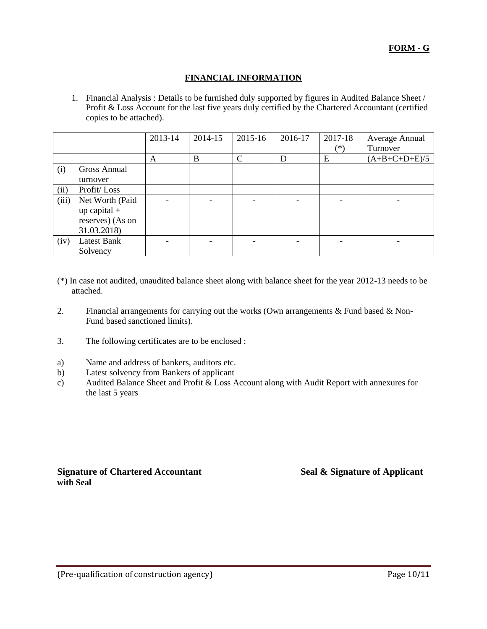### **FINANCIAL INFORMATION**

1. Financial Analysis : Details to be furnished duly supported by figures in Audited Balance Sheet / Profit & Loss Account for the last five years duly certified by the Chartered Accountant (certified copies to be attached).

|       |                  | 2013-14 | 2014-15 | 2015-16       | 2016-17 | 2017-18  | Average Annual  |
|-------|------------------|---------|---------|---------------|---------|----------|-----------------|
|       |                  |         |         |               |         | $^{(*)}$ | Turnover        |
|       |                  | A       | B       | $\mathcal{C}$ | D       | E        | $(A+B+C+D+E)/5$ |
| (i)   | Gross Annual     |         |         |               |         |          |                 |
|       | turnover         |         |         |               |         |          |                 |
| (ii)  | Profit/Loss      |         |         |               |         |          |                 |
| (iii) | Net Worth (Paid  |         |         |               |         |          |                 |
|       | $up capital +$   |         |         |               |         |          |                 |
|       | reserves) (As on |         |         |               |         |          |                 |
|       | 31.03.2018)      |         |         |               |         |          |                 |
| (iv)  | Latest Bank      |         |         |               |         |          |                 |
|       | Solvency         |         |         |               |         |          |                 |

- (\*) In case not audited, unaudited balance sheet along with balance sheet for the year 2012-13 needs to be attached.
- 2. Financial arrangements for carrying out the works (Own arrangements & Fund based & Non-Fund based sanctioned limits).
- 3. The following certificates are to be enclosed :
- a) Name and address of bankers, auditors etc.
- b) Latest solvency from Bankers of applicant
- c) Audited Balance Sheet and Profit & Loss Account along with Audit Report with annexures for the last 5 years

**Signature of Chartered Accountant Seal & Signature of Applicant with Seal**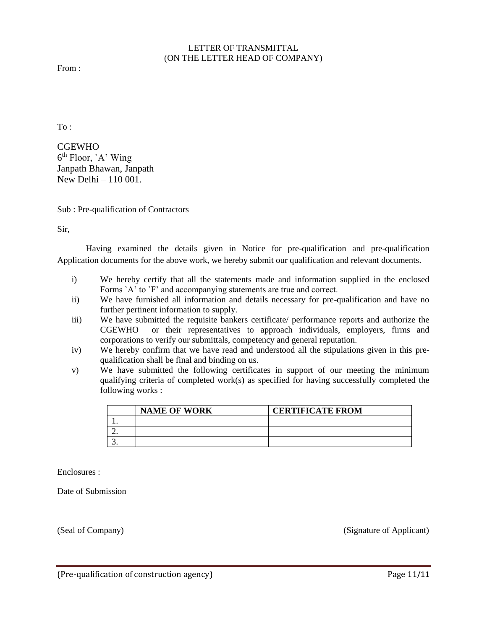### LETTER OF TRANSMITTAL (ON THE LETTER HEAD OF COMPANY)

From :

To :

CGEWHO 6<sup>th</sup> Floor, `A' Wing Janpath Bhawan, Janpath New Delhi – 110 001.

Sub : Pre-qualification of Contractors

Sir,

Having examined the details given in Notice for pre-qualification and pre-qualification Application documents for the above work, we hereby submit our qualification and relevant documents.

- i) We hereby certify that all the statements made and information supplied in the enclosed Forms `A' to `F' and accompanying statements are true and correct.
- ii) We have furnished all information and details necessary for pre-qualification and have no further pertinent information to supply.
- iii) We have submitted the requisite bankers certificate/ performance reports and authorize the CGEWHO or their representatives to approach individuals, employers, firms and corporations to verify our submittals, competency and general reputation.
- iv) We hereby confirm that we have read and understood all the stipulations given in this prequalification shall be final and binding on us.
- v) We have submitted the following certificates in support of our meeting the minimum qualifying criteria of completed work(s) as specified for having successfully completed the following works :

| <b>NAME OF WORK</b> | <b>CERTIFICATE FROM</b> |
|---------------------|-------------------------|
|                     |                         |
|                     |                         |
|                     |                         |

Enclosures :

Date of Submission

(Seal of Company) (Signature of Applicant)